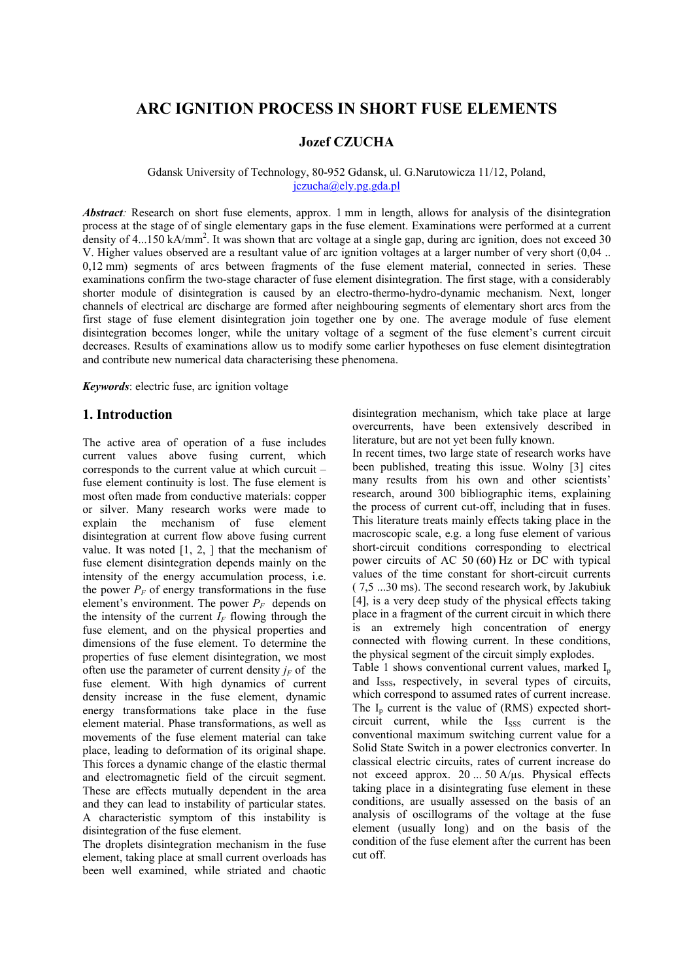# **ARC IGNITION PROCESS IN SHORT FUSE ELEMENTS**

# **Jozef CZUCHA**

#### Gdansk University of Technology, 80-952 Gdansk, ul. G.Narutowicza 11/12, Poland, jczucha@ely.pg.gda.pl

*Abstract*: Research on short fuse elements, approx. 1 mm in length, allows for analysis of the disintegration process at the stage of of single elementary gaps in the fuse element. Examinations were performed at a current density of 4...150 kA/mm<sup>2</sup>. It was shown that arc voltage at a single gap, during arc ignition, does not exceed 30 V. Higher values observed are a resultant value of arc ignition voltages at a larger number of very short (0,04 .. 0,12 mm) segments of arcs between fragments of the fuse element material, connected in series. These examinations confirm the two-stage character of fuse element disintegration. The first stage, with a considerably shorter module of disintegration is caused by an electro-thermo-hydro-dynamic mechanism. Next, longer channels of electrical arc discharge are formed after neighbouring segments of elementary short arcs from the first stage of fuse element disintegration join together one by one. The average module of fuse element disintegration becomes longer, while the unitary voltage of a segment of the fuse element's current circuit decreases. Results of examinations allow us to modify some earlier hypotheses on fuse element disintegtration and contribute new numerical data characterising these phenomena.

*Keywords*: electric fuse, arc ignition voltage

## **1. Introduction**

The active area of operation of a fuse includes current values above fusing current, which corresponds to the current value at which curcuit – fuse element continuity is lost. The fuse element is most often made from conductive materials: copper or silver. Many research works were made to explain the mechanism of fuse element disintegration at current flow above fusing current value. It was noted  $[1, 2, 1]$  that the mechanism of fuse element disintegration depends mainly on the intensity of the energy accumulation process, i.e. the power  $P_F$  of energy transformations in the fuse element's environment. The power  $P_F$  depends on the intensity of the current  $I_F$  flowing through the fuse element, and on the physical properties and dimensions of the fuse element. To determine the properties of fuse element disintegration, we most often use the parameter of current density  $j_F$  of the fuse element. With high dynamics of current density increase in the fuse element, dynamic energy transformations take place in the fuse element material. Phase transformations, as well as movements of the fuse element material can take place, leading to deformation of its original shape. This forces a dynamic change of the elastic thermal and electromagnetic field of the circuit segment. These are effects mutually dependent in the area and they can lead to instability of particular states. A characteristic symptom of this instability is disintegration of the fuse element.

The droplets disintegration mechanism in the fuse element, taking place at small current overloads has been well examined, while striated and chaotic

disintegration mechanism, which take place at large overcurrents, have been extensively described in literature, but are not yet been fully known.

In recent times, two large state of research works have been published, treating this issue. Wolny [3] cites many results from his own and other scientists' research, around 300 bibliographic items, explaining the process of current cut-off, including that in fuses. This literature treats mainly effects taking place in the macroscopic scale, e.g. a long fuse element of various short-circuit conditions corresponding to electrical power circuits of AC 50 (60) Hz or DC with typical values of the time constant for short-circuit currents ( 7,5 ...30 ms). The second research work, by Jakubiuk [4], is a very deep study of the physical effects taking place in a fragment of the current circuit in which there is an extremely high concentration of energy connected with flowing current. In these conditions, the physical segment of the circuit simply explodes.

Table 1 shows conventional current values, marked  $I_p$ and I<sub>SSS</sub>, respectively, in several types of circuits, which correspond to assumed rates of current increase. The  $I_n$  current is the value of (RMS) expected shortcircuit current, while the  $I<sub>SSS</sub>$  current is the conventional maximum switching current value for a Solid State Switch in a power electronics converter. In classical electric circuits, rates of current increase do not exceed approx. 20 ... 50 A/µs. Physical effects taking place in a disintegrating fuse element in these conditions, are usually assessed on the basis of an analysis of oscillograms of the voltage at the fuse element (usually long) and on the basis of the condition of the fuse element after the current has been cut off.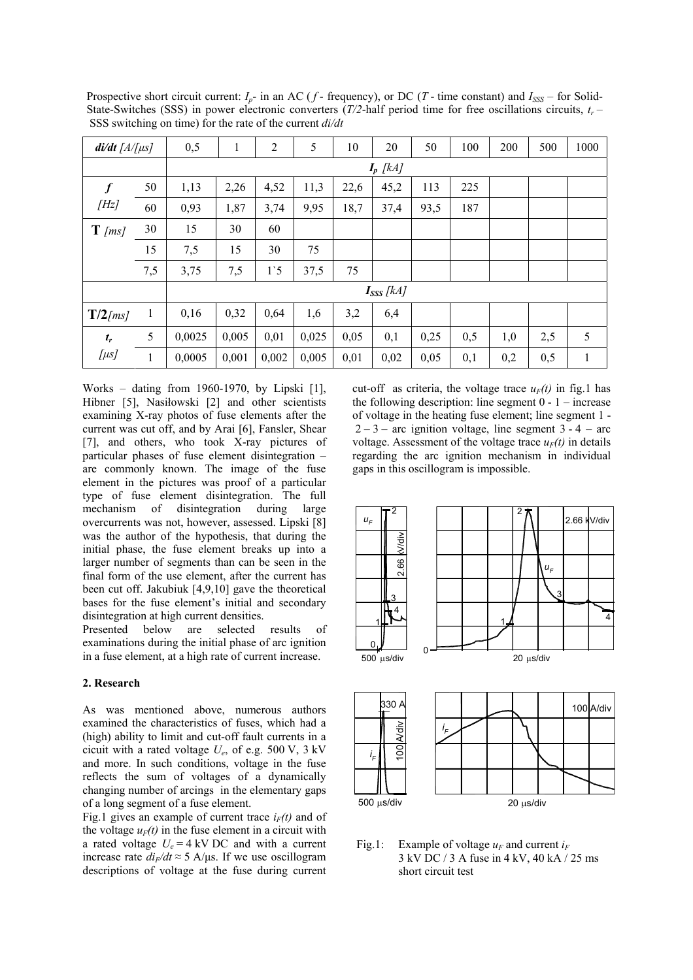| $di/dt$ [A/[ $\mu s$ ]   |     | 0,5            | 1     | $\overline{2}$ | 5     | 10   | 20   | 50   | 100 | 200 | 500 | 1000 |
|--------------------------|-----|----------------|-------|----------------|-------|------|------|------|-----|-----|-----|------|
|                          |     | $I_p$ [kA]     |       |                |       |      |      |      |     |     |     |      |
| $\boldsymbol{f}$<br>[Hz] | 50  | 1,13           | 2,26  | 4,52           | 11,3  | 22,6 | 45,2 | 113  | 225 |     |     |      |
|                          | 60  | 0,93           | 1,87  | 3,74           | 9,95  | 18,7 | 37,4 | 93,5 | 187 |     |     |      |
| $\mathbf{T}$ [ms]        | 30  | 15             | 30    | 60             |       |      |      |      |     |     |     |      |
|                          | 15  | 7,5            | 15    | 30             | 75    |      |      |      |     |     |     |      |
|                          | 7,5 | 3,75           | 7,5   | 1 <sup>5</sup> | 37,5  | 75   |      |      |     |     |     |      |
|                          |     | $I_{SSS}$ [kA] |       |                |       |      |      |      |     |     |     |      |
| $T/2$ [ms]               | 1   | 0,16           | 0,32  | 0,64           | 1,6   | 3,2  | 6,4  |      |     |     |     |      |
| $t_r$                    | 5   | 0,0025         | 0,005 | 0,01           | 0,025 | 0,05 | 0,1  | 0,25 | 0,5 | 1,0 | 2,5 | 5    |
| $[\mu s]$                | 1   | 0,0005         | 0,001 | 0,002          | 0,005 | 0,01 | 0,02 | 0,05 | 0,1 | 0,2 | 0,5 | 1    |

Prospective short circuit current:  $I_p$ - in an AC ( $f$ - frequency), or DC ( $T$ - time constant) and  $I_{SSS}$  – for Solid-State-Switches (SSS) in power electronic converters (*T/2*-half period time for free oscillations circuits, *t<sup>r</sup>* – SSS switching on time) for the rate of the current *di/dt*

Works – dating from 1960-1970, by Lipski [1], Hibner [5], Nasiłowski [2] and other scientists examining X-ray photos of fuse elements after the current was cut off, and by Arai [6], Fansler, Shear [7], and others, who took X-ray pictures of particular phases of fuse element disintegration – are commonly known. The image of the fuse element in the pictures was proof of a particular type of fuse element disintegration. The full mechanism of disintegration during large overcurrents was not, however, assessed. Lipski [8] was the author of the hypothesis, that during the initial phase, the fuse element breaks up into a larger number of segments than can be seen in the final form of the use element, after the current has been cut off. Jakubiuk [4,9,10] gave the theoretical bases for the fuse element's initial and secondary disintegration at high current densities.

Presented below are selected results of examinations during the initial phase of arc ignition in a fuse element, at a high rate of current increase.

### **2. Research**

As was mentioned above, numerous authors examined the characteristics of fuses, which had a (high) ability to limit and cut-off fault currents in a cicuit with a rated voltage *U<sup>e</sup>* , of e.g. 500 V, 3 kV and more. In such conditions, voltage in the fuse reflects the sum of voltages of a dynamically changing number of arcings in the elementary gaps of a long segment of a fuse element.

Fig.1 gives an example of current trace  $i_F(t)$  and of the voltage  $u_F(t)$  in the fuse element in a circuit with a rated voltage  $U_e = 4$  kV DC and with a current increase rate  $di_F/dt \approx 5$  A/ $\mu$ s. If we use oscillogram descriptions of voltage at the fuse during current

cut-off as criteria, the voltage trace  $u_F(t)$  in fig.1 has the following description: line segment  $0 - 1$  – increase of voltage in the heating fuse element; line segment 1 -  $2-3$  – arc ignition voltage, line segment 3 - 4 – arc voltage. Assessment of the voltage trace  $u_F(t)$  in details regarding the arc ignition mechanism in individual gaps in this oscillogram is impossible.



Fig.1: Example of voltage  $u_F$  and current  $i_F$ 3 kV DC / 3 A fuse in 4 kV, 40 kA / 25 ms short circuit test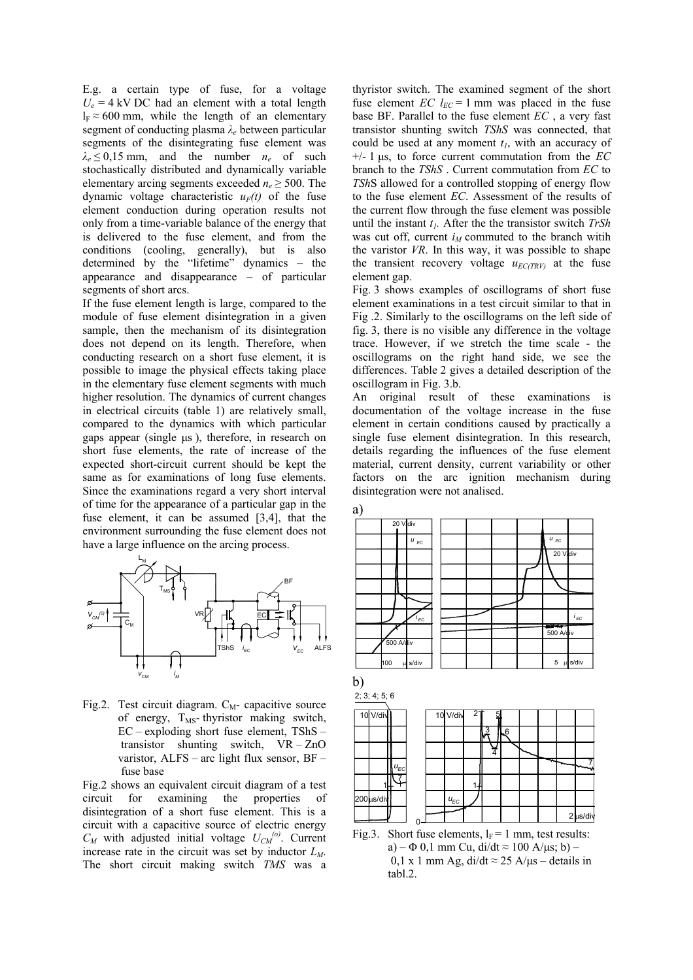E.g. a certain type of fuse, for a voltage  $U_e = 4$  kV DC had an element with a total length  $l_F \approx 600$  mm, while the length of an elementary segment of conducting plasma *λ<sup>e</sup>* between particular segments of the disintegrating fuse element was  $\lambda_e \leq 0.15$  mm, and the number  $n_e$  of such stochastically distributed and dynamically variable elementary arcing segments exceeded  $n_e \geq 500$ . The dynamic voltage characteristic  $u_F(t)$  of the fuse element conduction during operation results not only from a time-variable balance of the energy that is delivered to the fuse element, and from the conditions (cooling, generally), but is also determined by the "lifetime" dynamics – the appearance and disappearance – of particular segments of short arcs.

If the fuse element length is large, compared to the module of fuse element disintegration in a given sample, then the mechanism of its disintegration does not depend on its length. Therefore, when conducting research on a short fuse element, it is possible to image the physical effects taking place in the elementary fuse element segments with much higher resolution. The dynamics of current changes in electrical circuits (table 1) are relatively small, compared to the dynamics with which particular gaps appear (single µs ), therefore, in research on short fuse elements, the rate of increase of the expected short-circuit current should be kept the same as for examinations of long fuse elements. Since the examinations regard a very short interval of time for the appearance of a particular gap in the fuse element, it can be assumed [3,4], that the environment surrounding the fuse element does not have a large influence on the arcing process.



Fig.2. Test circuit diagram.  $C_M$ - capacitive source of energy,  $T_{MS}$ -thyristor making switch, EC – exploding short fuse element, TShS – transistor shunting switch, VR – ZnO varistor, ALFS – arc light flux sensor, BF – fuse base

Fig.2 shows an equivalent circuit diagram of a test circuit for examining the properties of disintegration of a short fuse element. This is a circuit with a capacitive source of electric energy  $C_M$  with adjusted initial voltage  $U_{CM}^{(o)}$ . Current increase rate in the circuit was set by inductor *LM*. The short circuit making switch *TMS* was a

thyristor switch. The examined segment of the short fuse element *EC*  $l_{EC} = 1$  mm was placed in the fuse base BF. Parallel to the fuse element *EC* , a very fast transistor shunting switch *TShS* was connected, that could be used at any moment  $t<sub>l</sub>$ , with an accuracy of +/- 1 µs, to force current commutation from the *EC* branch to the *TShS* . Current commutation from *EC* to *TSh*S allowed for a controlled stopping of energy flow to the fuse element *EC*. Assessment of the results of the current flow through the fuse element was possible until the instant *t1.* After the the transistor switch *TrSh*  was cut off, current  $i_M$  commuted to the branch witih the varistor *VR*. In this way, it was possible to shape the transient recovery voltage  $u_{ECTRV}$  at the fuse element gap.

Fig. 3 shows examples of oscillograms of short fuse element examinations in a test circuit similar to that in Fig .2. Similarly to the oscillograms on the left side of fig. 3, there is no visible any difference in the voltage trace. However, if we stretch the time scale - the oscillograms on the right hand side, we see the differences. Table 2 gives a detailed description of the oscillogram in Fig. 3.b.

An original result of these examinations is documentation of the voltage increase in the fuse element in certain conditions caused by practically a single fuse element disintegration. In this research, details regarding the influences of the fuse element material, current density, current variability or other factors on the arc ignition mechanism during disintegration were not analised.



Fig.3. Short fuse elements,  $l_F = 1$  mm, test results: a) –  $\Phi$  0,1 mm Cu, di/dt  $\approx$  100 A/µs; b) – 0,1 x 1 mm Ag, di/dt  $\approx$  25 A/ $\mu$ s – details in tabl.2.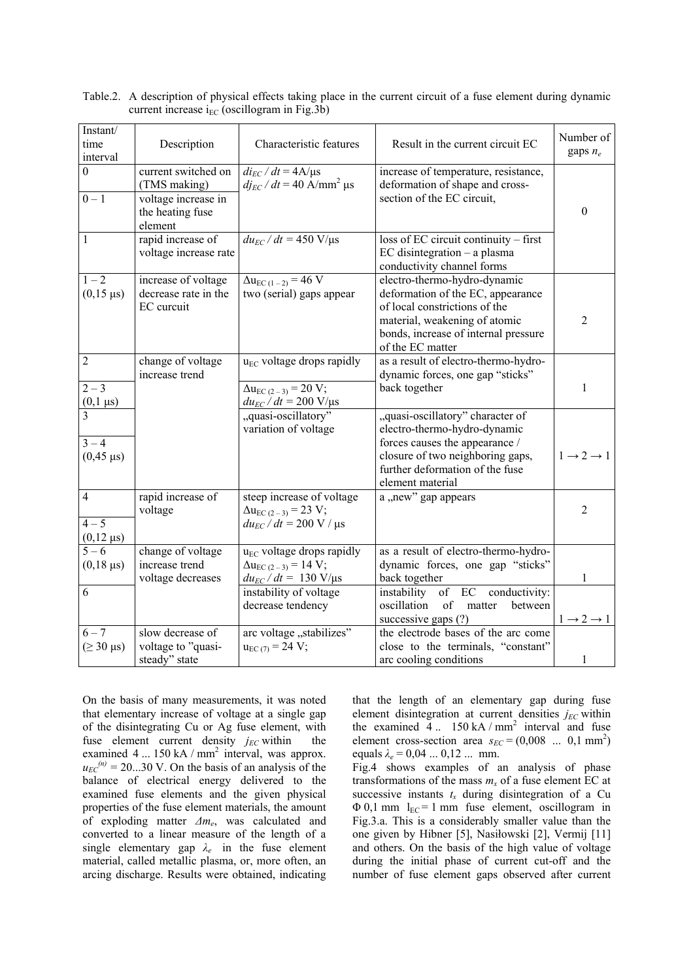| Instant/<br>time<br>interval                  | Description                                                                               | Characteristic features                                                                                           | Result in the current circuit EC                                                                                                                                                                | Number of<br>gaps $n_e$         |
|-----------------------------------------------|-------------------------------------------------------------------------------------------|-------------------------------------------------------------------------------------------------------------------|-------------------------------------------------------------------------------------------------------------------------------------------------------------------------------------------------|---------------------------------|
| $\Omega$<br>$0 - 1$                           | current switched on<br>(TMS making)<br>voltage increase in<br>the heating fuse<br>element | $di_{EC}/dt = 4A/\mu s$<br>$dj_{EC}$ / $dt$ = 40 A/mm <sup>2</sup> µs                                             | increase of temperature, resistance,<br>deformation of shape and cross-<br>section of the EC circuit,                                                                                           | $\boldsymbol{0}$                |
| 1                                             | rapid increase of<br>voltage increase rate                                                | $du_{EC}/dt = 450$ V/ $\mu$ s                                                                                     | loss of EC circuit continuity - first<br>$EC$ disintegration $-$ a plasma<br>conductivity channel forms                                                                                         |                                 |
| $1 - 2$<br>$(0,15 \,\mu s)$                   | increase of voltage<br>decrease rate in the<br>EC curcuit                                 | $\Delta u_{EC(1-2)} = 46$ V<br>two (serial) gaps appear                                                           | electro-thermo-hydro-dynamic<br>deformation of the EC, appearance<br>of local constrictions of the<br>material, weakening of atomic<br>bonds, increase of internal pressure<br>of the EC matter | $\overline{2}$                  |
| 2<br>$2 - 3$<br>$\frac{(0,1 \,\mu s)}{3}$     | change of voltage<br>increase trend                                                       | $u_{EC}$ voltage drops rapidly<br>$\Delta u_{EC(2-3)} = 20 V;$<br>$du_{EC}/dt = 200 \text{ V/}\mu\text{s}$        | as a result of electro-thermo-hydro-<br>dynamic forces, one gap "sticks"<br>back together                                                                                                       | $\mathbf{1}$                    |
| $3 - 4$<br>$(0,45 \,\mu s)$                   |                                                                                           | "quasi-oscillatory"<br>variation of voltage                                                                       | "quasi-oscillatory" character of<br>electro-thermo-hydro-dynamic<br>forces causes the appearance /<br>closure of two neighboring gaps,<br>further deformation of the fuse<br>element material   | $1 \rightarrow 2 \rightarrow 1$ |
| $\overline{4}$<br>$4 - 5$<br>$(0,12 \,\mu s)$ | rapid increase of<br>voltage                                                              | steep increase of voltage<br>$\Delta u_{EC(2-3)} = 23 V;$<br>$du_{EC}/dt = 200 \text{ V}/ \text{ }\mu\text{s}$    | a "new" gap appears                                                                                                                                                                             | $\overline{2}$                  |
| $\frac{5-6}{5}$<br>$(0,18 \,\mu s)$           | change of voltage<br>increase trend<br>voltage decreases                                  | u <sub>EC</sub> voltage drops rapidly<br>$\Delta u_{EC(2-3)} = 14$ V;<br>$du_{EC}/dt = 130 \text{ V/}\mu\text{s}$ | as a result of electro-thermo-hydro-<br>dynamic forces, one gap "sticks"<br>back together                                                                                                       | 1                               |
| 6                                             |                                                                                           | instability of voltage<br>decrease tendency                                                                       | instability of EC conductivity:<br>oscillation<br>of<br>matter<br>between<br>successive gaps (?)                                                                                                | $1 \rightarrow 2 \rightarrow 1$ |
| $6 - 7$<br>$( \geq 30 \text{ }\mu\text{s})$   | slow decrease of<br>voltage to "quasi-<br>steady" state                                   | arc voltage "stabilizes"<br>$u_{EC(7)} = 24 V;$                                                                   | the electrode bases of the arc come<br>close to the terminals, "constant"<br>arc cooling conditions                                                                                             | $\mathbf{1}$                    |

Table.2. A description of physical effects taking place in the current circuit of a fuse element during dynamic current increase  $i_{EC}$  (oscillogram in Fig.3b)

On the basis of many measurements, it was noted that elementary increase of voltage at a single gap of the disintegrating Cu or Ag fuse element, with fuse element current density  $j_{EC}$  within the examined  $4 \dots 150$  kA / mm<sup>2</sup> interval, was approx.  $u_{EC}^{(n)} = 20...30$  V. On the basis of an analysis of the balance of electrical energy delivered to the examined fuse elements and the given physical properties of the fuse element materials, the amount of exploding matter *∆m<sup>e</sup>* , was calculated and converted to a linear measure of the length of a single elementary gap  $\lambda_e$  in the fuse element material, called metallic plasma, or, more often, an arcing discharge. Results were obtained, indicating

that the length of an elementary gap during fuse element disintegration at current densities  $j_{EC}$  within the examined  $\overline{4}$ .. 150 kA / mm<sup>2</sup> interval and fuse element cross-section area  $s_{EC} = (0,008 \dots 0,1 \text{ mm}^2)$ equals  $\lambda_e = 0.04 \dots 0.12 \dots$  mm.

Fig.4 shows examples of an analysis of phase transformations of the mass  $m<sub>x</sub>$  of a fuse element EC at successive instants  $t_x$  during disintegration of a Cu  $\Phi$  0,1 mm  $l_{EC}$  = 1 mm fuse element, oscillogram in Fig.3.a. This is a considerably smaller value than the one given by Hibner [5], Nasiłowski [2], Vermij [11] and others. On the basis of the high value of voltage during the initial phase of current cut-off and the number of fuse element gaps observed after current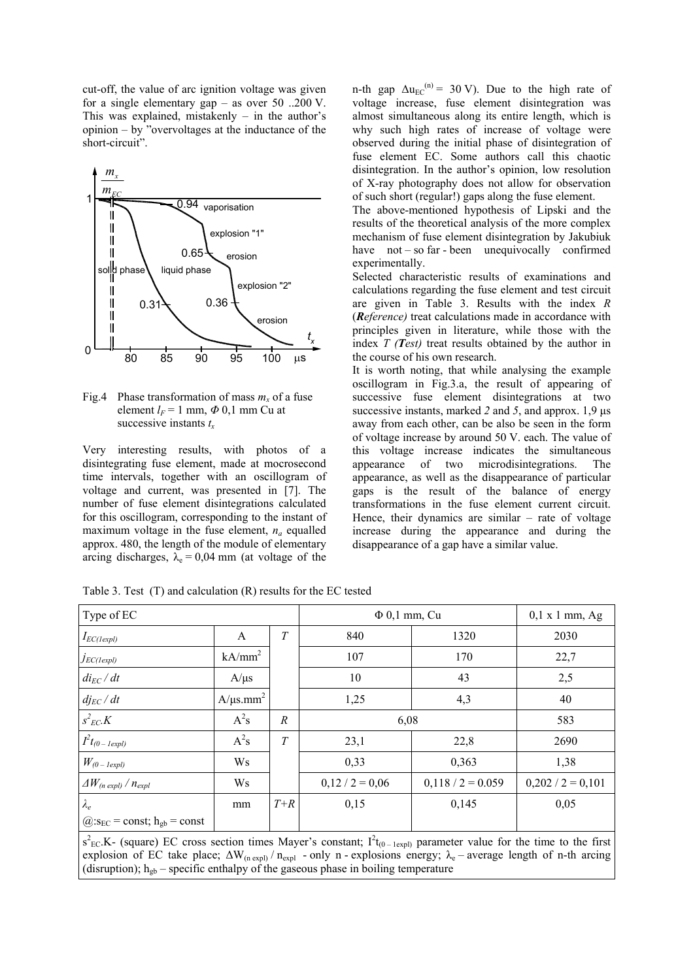cut-off, the value of arc ignition voltage was given for a single elementary gap – as over 50 ..200 V. This was explained, mistakenly  $-$  in the author's opinion – by "overvoltages at the inductance of the short-circuit".



Fig.4 Phase transformation of mass  $m<sub>x</sub>$  of a fuse element  $l_F$  = 1 mm,  $\Phi$  0,1 mm Cu at successive instants *t<sup>x</sup>*

Very interesting results, with photos of a disintegrating fuse element, made at mocrosecond time intervals, together with an oscillogram of voltage and current, was presented in [7]. The number of fuse element disintegrations calculated for this oscillogram, corresponding to the instant of maximum voltage in the fuse element,  $n_a$  equalled approx. 480, the length of the module of elementary arcing discharges,  $\lambda_e = 0.04$  mm (at voltage of the

n-th gap  $\Delta u_{EC}^{(n)} = 30 \text{ V}$ ). Due to the high rate of voltage increase, fuse element disintegration was almost simultaneous along its entire length, which is why such high rates of increase of voltage were observed during the initial phase of disintegration of fuse element EC. Some authors call this chaotic disintegration. In the author's opinion, low resolution of X-ray photography does not allow for observation of such short (regular!) gaps along the fuse element.

The above-mentioned hypothesis of Lipski and the results of the theoretical analysis of the more complex mechanism of fuse element disintegration by Jakubiuk have not – so far - been unequivocally confirmed experimentally.

Selected characteristic results of examinations and calculations regarding the fuse element and test circuit are given in Table 3. Results with the index *R*  (*Reference)* treat calculations made in accordance with principles given in literature, while those with the index *T (Test)* treat results obtained by the author in the course of his own research.

It is worth noting, that while analysing the example oscillogram in Fig.3.a, the result of appearing of successive fuse element disintegrations at two successive instants, marked 2 and 5, and approx. 1,9  $\mu$ s away from each other, can be also be seen in the form of voltage increase by around 50 V. each. The value of this voltage increase indicates the simultaneous appearance of two microdisintegrations. The appearance of two microdisintegrations. The appearance, as well as the disappearance of particular gaps is the result of the balance of energy transformations in the fuse element current circuit. Hence, their dynamics are similar – rate of voltage increase during the appearance and during the disappearance of a gap have a similar value.

| Type of EC                                                 |                            |                  | $\Phi$ 0,1 mm, Cu |                     | $0,1 \times 1$ mm, Ag |  |
|------------------------------------------------------------|----------------------------|------------------|-------------------|---------------------|-----------------------|--|
| $I_{EC(lexpl)}$                                            | A                          | T                | 840<br>1320       |                     | 2030                  |  |
| JEC(1expl)                                                 | $kA/mm^2$                  |                  | 107               | 170                 | 22,7                  |  |
| $di_{EC}/dt$                                               | $A/\mu s$                  |                  | 10                | 43                  | 2,5                   |  |
| $dj_{EC}/dt$                                               | $A/\mu s.$ mm <sup>2</sup> |                  | 1,25              | 4,3                 | 40                    |  |
| $s^2_{EC}$ . $K$                                           | $A^2s$                     | $\boldsymbol{R}$ | 6,08              | 583                 |                       |  |
| $I^2t_{(0 - \text{1expl})}$                                | $A^2s$                     | T                | 23,1              | 22,8                | 2690                  |  |
| $W_{(0 - \text{1expl})}$                                   | Ws                         |                  | 0,33              | 0,363               | 1,38                  |  |
| $\Delta W_{(n \text{ expl})}/n_{expl}$                     | Ws                         |                  | $0,12/2=0,06$     | $0,118 / 2 = 0.059$ | $0,202 / 2 = 0,101$   |  |
| $\lambda_e$                                                | mm                         | $T+R$            | 0,15              | 0,145               | 0,05                  |  |
| $\omega$ :s <sub>EC</sub> = const; h <sub>gb</sub> = const |                            |                  |                   |                     |                       |  |

Table 3. Test (T) and calculation (R) results for the EC tested

 $s^2_{EC}$ K- (square) EC cross section times Mayer's constant;  $I^2t_{(0-1expl)}$  parameter value for the time to the first explosion of EC take place;  $\Delta W_{(n \exp)} / n_{expl}$  - only n - explosions energy;  $\lambda_e$  – average length of n-th arcing (disruption);  $h_{gb}$  – specific enthalpy of the gaseous phase in boiling temperature